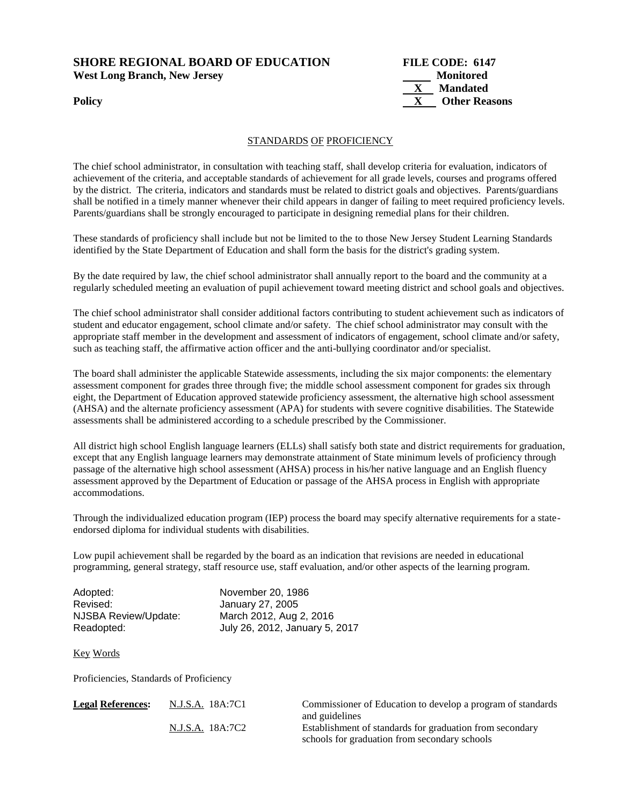## **SHORE REGIONAL BOARD OF EDUCATION FILE CODE: 6147 West Long Branch, New Jersey Monitored**



## STANDARDS OF PROFICIENCY

The chief school administrator, in consultation with teaching staff, shall develop criteria for evaluation, indicators of achievement of the criteria, and acceptable standards of achievement for all grade levels, courses and programs offered by the district. The criteria, indicators and standards must be related to district goals and objectives. Parents/guardians shall be notified in a timely manner whenever their child appears in danger of failing to meet required proficiency levels. Parents/guardians shall be strongly encouraged to participate in designing remedial plans for their children.

These standards of proficiency shall include but not be limited to the to those New Jersey Student Learning Standards identified by the State Department of Education and shall form the basis for the district's grading system.

By the date required by law, the chief school administrator shall annually report to the board and the community at a regularly scheduled meeting an evaluation of pupil achievement toward meeting district and school goals and objectives.

The chief school administrator shall consider additional factors contributing to student achievement such as indicators of student and educator engagement, school climate and/or safety. The chief school administrator may consult with the appropriate staff member in the development and assessment of indicators of engagement, school climate and/or safety, such as teaching staff, the affirmative action officer and the anti-bullying coordinator and/or specialist.

The board shall administer the applicable Statewide assessments, including the six major components: the elementary assessment component for grades three through five; the middle school assessment component for grades six through eight, the Department of Education approved statewide proficiency assessment, the alternative high school assessment (AHSA) and the alternate proficiency assessment (APA) for students with severe cognitive disabilities. The Statewide assessments shall be administered according to a schedule prescribed by the Commissioner.

All district high school English language learners (ELLs) shall satisfy both state and district requirements for graduation, except that any English language learners may demonstrate attainment of State minimum levels of proficiency through passage of the alternative high school assessment (AHSA) process in his/her native language and an English fluency assessment approved by the Department of Education or passage of the AHSA process in English with appropriate accommodations.

Through the individualized education program (IEP) process the board may specify alternative requirements for a stateendorsed diploma for individual students with disabilities.

Low pupil achievement shall be regarded by the board as an indication that revisions are needed in educational programming, general strategy, staff resource use, staff evaluation, and/or other aspects of the learning program.

| Adopted:             | November 20, 1986              |
|----------------------|--------------------------------|
| Revised:             | January 27, 2005               |
| NJSBA Review/Update: | March 2012, Aug 2, 2016        |
| Readopted:           | July 26, 2012, January 5, 2017 |

Key Words

Proficiencies, Standards of Proficiency

| <b>Legal References:</b> | N.J.S.A. 18A:7C1 | Commissioner of Education to develop a program of standards |
|--------------------------|------------------|-------------------------------------------------------------|
|                          |                  | and guidelines                                              |
|                          | N.J.S.A. 18A:7C2 | Establishment of standards for graduation from secondary    |
|                          |                  | schools for graduation from secondary schools               |